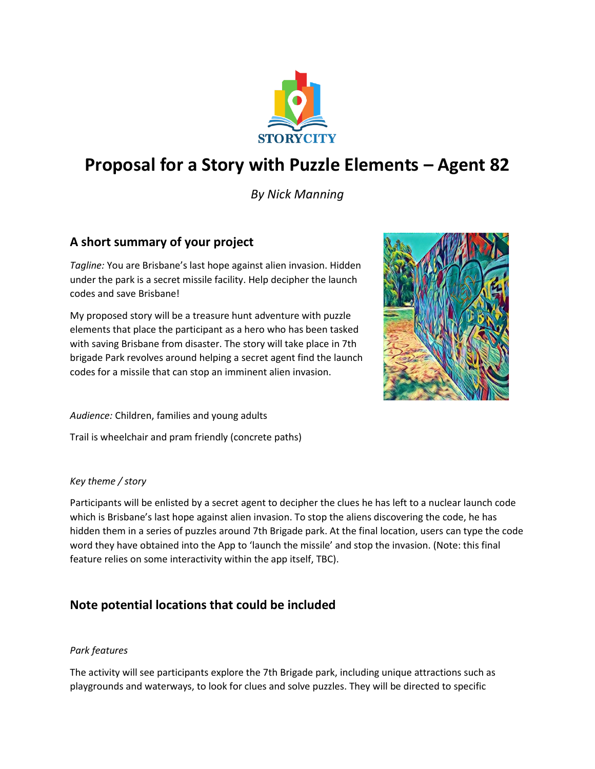

# **Proposal for a Story with Puzzle Elements – Agent 82**

*By Nick Manning*

## **A short summary of your project**

*Tagline:* You are Brisbane's last hope against alien invasion. Hidden under the park is a secret missile facility. Help decipher the launch codes and save Brisbane!

My proposed story will be a treasure hunt adventure with puzzle elements that place the participant as a hero who has been tasked with saving Brisbane from disaster. The story will take place in 7th brigade Park revolves around helping a secret agent find the launch codes for a missile that can stop an imminent alien invasion.



*Audience:* Children, families and young adults

Trail is wheelchair and pram friendly (concrete paths)

#### *Key theme / story*

Participants will be enlisted by a secret agent to decipher the clues he has left to a nuclear launch code which is Brisbane's last hope against alien invasion. To stop the aliens discovering the code, he has hidden them in a series of puzzles around 7th Brigade park. At the final location, users can type the code word they have obtained into the App to 'launch the missile' and stop the invasion. (Note: this final feature relies on some interactivity within the app itself, TBC).

## **Note potential locations that could be included**

#### *Park features*

The activity will see participants explore the 7th Brigade park, including unique attractions such as playgrounds and waterways, to look for clues and solve puzzles. They will be directed to specific